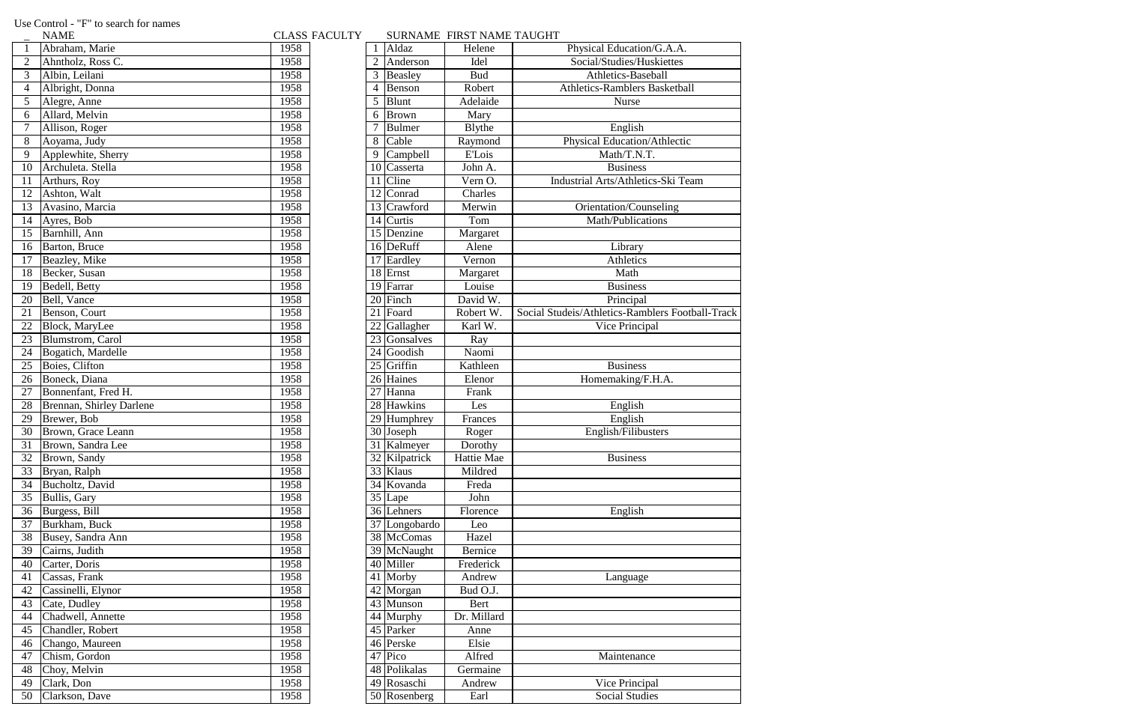Use Control - "F" to search for names<br>
- NAME

CLASS FACULTY SURNAME FIRST NAME TAUGHT

|                | 11111111                 |      |                |                            | $500$ $\mu$ $\mu$ $\mu$ $\mu$ $\mu$ $\mu$ $\mu$ $\mu$ $\mu$ $\mu$ $\mu$ $\mu$ $\mu$ $\sigma$ |                                |
|----------------|--------------------------|------|----------------|----------------------------|----------------------------------------------------------------------------------------------|--------------------------------|
|                | Abraham, Marie           | 1958 | $\mathbf{1}$   | Aldaz                      | Helene                                                                                       | Physical Education             |
| $\overline{2}$ | Ahntholz, Ross C.        | 1958 | $\overline{2}$ | Anderson                   | Idel                                                                                         | Social/Studies/Hu              |
| 3              | Albin, Leilani           | 1958 | 3              | Beasley                    | <b>Bud</b>                                                                                   | Athletics-Base                 |
| 4              | Albright, Donna          | 1958 | $\overline{4}$ | Benson                     | Robert                                                                                       | <b>Athletics-Ramblers</b>      |
| 5              | Alegre, Anne             | 1958 | 5              | Blunt                      | Adelaide                                                                                     | Nurse                          |
| 6              | Allard, Melvin           | 1958 | 6              | <b>Brown</b>               | Mary                                                                                         |                                |
| 7              | Allison, Roger           | 1958 |                | <b>Bulmer</b>              | <b>B</b> lythe                                                                               | English                        |
| 8              | Aoyama, Judy             | 1958 | 8              | Cable                      | Raymond                                                                                      | Physical Education.            |
| 9              | Applewhite, Sherry       | 1958 | 9              | Campbell                   | <b>E'Lois</b>                                                                                | Math/T.N.                      |
| 10             | Archuleta. Stella        | 1958 | 10             | Casserta                   | John A.                                                                                      | <b>Business</b>                |
| 11             | Arthurs, Roy             | 1958 | 11             | Cline                      | Vern O.                                                                                      | <b>Industrial Arts/Athleti</b> |
| 12             | Ashton, Walt             | 1958 | 12             | Conrad                     | Charles                                                                                      |                                |
| 13             | Avasino, Marcia          | 1958 | 13             | Crawford                   | Merwin                                                                                       | Orientation/Cou                |
| 14             | Ayres, Bob               | 1958 | 14             | Curtis                     | Tom                                                                                          | Math/Publicat                  |
| 15             | Barnhill, Ann            | 1958 |                | 15 Denzine                 | Margaret                                                                                     |                                |
| 16             | Barton, Bruce            | 1958 |                | 16 DeRuff                  | Alene                                                                                        | Library                        |
| 17             | Beazley, Mike            | 1958 | 17             | Eardley                    | Vernon                                                                                       | Athletics                      |
| 18             | Becker, Susan            | 1958 | 18             | Ernst                      | Margaret                                                                                     | Math                           |
| 19             | Bedell, Betty            | 1958 | 19             | Farrar                     | Louise                                                                                       | <b>Business</b>                |
| 20             | Bell, Vance              | 1958 |                | $20$ Finch                 | David W.                                                                                     | Principal                      |
| 21             | Benson, Court            | 1958 | 21             | Foard                      | Robert W.                                                                                    | Social Studeis/Athletics-Ram   |
| 22             | Block, MaryLee           | 1958 | 22             | Gallagher                  | Karl W.                                                                                      | Vice Princip                   |
| 23             | Blumstrom, Carol         | 1958 | 23             | Gonsalves                  | Ray                                                                                          |                                |
| 24             | Bogatich, Mardelle       | 1958 | 24             | Goodish                    | Naomi                                                                                        |                                |
| 25             | Boies, Clifton           | 1958 |                | $25$ Griffin               | Kathleen                                                                                     | <b>Business</b>                |
| 26             | Boneck, Diana            | 1958 | 26             | Haines                     | Elenor                                                                                       | Homemaking/F                   |
| 27             | Bonnenfant, Fred H.      | 1958 | 27             | Hanna                      | Frank                                                                                        |                                |
| 28             | Brennan, Shirley Darlene | 1958 | 28             | Hawkins                    | Les                                                                                          | English                        |
| 29             | Brewer, Bob              | 1958 | 29             | Humphrey                   | Frances                                                                                      | English                        |
| 30             | Brown, Grace Leann       | 1958 |                | 30 Joseph                  | Roger                                                                                        | English/Filibu                 |
| 31             | Brown, Sandra Lee        | 1958 |                | 31 Kalmeyer                | Dorothy                                                                                      |                                |
| 32             | Brown, Sandy             | 1958 |                | $\overline{32}$ Kilpatrick | Hattie Mae                                                                                   | <b>Business</b>                |
| 33             | Bryan, Ralph             | 1958 |                | 33 Klaus                   | Mildred                                                                                      |                                |
| 34             | Bucholtz, David          | 1958 |                | $\overline{34}$ Kovanda    | Freda                                                                                        |                                |
| 35             | Bullis, Gary             | 1958 |                | 35 Lape                    | John                                                                                         |                                |
| 36             | Burgess, Bill            | 1958 |                | 36 Lehners                 | Florence                                                                                     | English                        |
| 37             | Burkham, Buck            | 1958 | 37             | Longobardo                 | Leo                                                                                          |                                |
| 38             | Busey, Sandra Ann        | 1958 |                | 38 McComas                 | Hazel                                                                                        |                                |
| 39             | Cairns, Judith           | 1958 |                | 39 McNaught                | Bernice                                                                                      |                                |
| 40             | Carter, Doris            | 1958 |                | 40 Miller                  | Frederick                                                                                    |                                |
| 41             | Cassas, Frank            | 1958 |                | 41 Morby                   | Andrew                                                                                       | Language                       |
| 42             | Cassinelli, Elynor       | 1958 |                | 42 Morgan                  | Bud O.J.                                                                                     |                                |
| 43             | Cate, Dudley             | 1958 |                | 43 Munson                  | Bert                                                                                         |                                |
| 44             | Chadwell, Annette        | 1958 |                | 44 Murphy                  | Dr. Millard                                                                                  |                                |
| 45             | Chandler, Robert         | 1958 |                | 45 Parker                  | Anne                                                                                         |                                |
| 46             | Chango, Maureen          | 1958 |                | 46 Perske                  | Elsie                                                                                        |                                |
| 47             | Chism, Gordon            | 1958 | 47             | Pico                       | Alfred                                                                                       | Maintenano                     |
| 48             | Choy, Melvin             | 1958 |                | 48 Polikalas               | Germaine                                                                                     |                                |
| 49             | Clark, Don               | 1958 |                | 49 Rosaschi                | Andrew                                                                                       | Vice Princip                   |
| 50             | Clarkson, Dave           | 1958 |                | 50 Rosenberg               | Earl                                                                                         | Social Studi                   |

| $\mathbf{1}$    | Abraham, Marie           | 1958 |                | Aldaz                   | Helene                | Physical Education/G.A.A.                        |
|-----------------|--------------------------|------|----------------|-------------------------|-----------------------|--------------------------------------------------|
|                 | Ahntholz, Ross C.        | 1958 | $\overline{2}$ | Anderson                | Idel                  | Social/Studies/Huskiettes                        |
| 3               | Albin, Leilani           | 1958 | 3              | Beasley                 | <b>Bud</b>            | Athletics-Baseball                               |
| $\overline{4}$  | Albright, Donna          | 1958 | $\overline{4}$ | Benson                  | Robert                | <b>Athletics-Ramblers Basketball</b>             |
| 5               | Alegre, Anne             | 1958 | 5              | Blunt                   | Adelaide              | Nurse                                            |
| $\overline{6}$  | Allard, Melvin           | 1958 | 6              | <b>Brown</b>            | Mary                  |                                                  |
|                 | Allison, Roger           | 1958 | 7              | <b>Bulmer</b>           | <b>B</b> lythe        | English                                          |
| $\overline{8}$  | Aoyama, Judy             | 1958 | 8              | Cable                   | Raymond               | <b>Physical Education/Athlectic</b>              |
| $\overline{9}$  | Applewhite, Sherry       | 1958 | 9              | Campbell                | <b>E'Lois</b>         | Math/T.N.T.                                      |
| 10              | Archuleta. Stella        | 1958 | 10             | Casserta                | John A.               | <b>Business</b>                                  |
| 11              | Arthurs, Roy             | 1958 | 11             | <b>Cline</b>            | $\overline{V}$ ern O. | Industrial Arts/Athletics-Ski Team               |
| 12              | Ashton, Walt             | 1958 | 12             | Conrad                  | Charles               |                                                  |
| $\overline{13}$ | Avasino, Marcia          | 1958 |                | 13 Crawford             | Merwin                | Orientation/Counseling                           |
|                 | 14 Ayres, Bob            | 1958 | 14             | Curtis                  | Tom                   | Math/Publications                                |
| 15              | Barnhill, Ann            | 1958 |                | 15 Denzine              | Margaret              |                                                  |
| $\overline{16}$ | Barton, Bruce            | 1958 |                | 16 DeRuff               | Alene                 | Library                                          |
| 17              | Beazley, Mike            | 1958 |                | $\overline{17}$ Eardley | Vernon                | Athletics                                        |
| 18              | Becker, Susan            | 1958 |                | $18$ Ernst              | Margaret              | Math                                             |
| 19              | Bedell, Betty            | 1958 | 19             | Farrar                  | Louise                | <b>Business</b>                                  |
| 20              | Bell, Vance              | 1958 | 20             | Finch                   | David W.              | Principal                                        |
| $\overline{21}$ | Benson, Court            | 1958 | 21             | Foard                   | Robert W.             | Social Studeis/Athletics-Ramblers Football-Track |
| 22              | Block, MaryLee           | 1958 | 22             | Gallagher               | Karl W.               | Vice Principal                                   |
| 23              | Blumstrom, Carol         | 1958 | 23             | Gonsalves               | Ray                   |                                                  |
| 24              | Bogatich, Mardelle       | 1958 | 24             | Goodish                 | Naomi                 |                                                  |
| 25              | Boies, Clifton           | 1958 | 25             | Griffin                 | Kathleen              | <b>Business</b>                                  |
| $\overline{26}$ | Boneck, Diana            | 1958 | 26             | Haines                  | Elenor                | Homemaking/F.H.A.                                |
| 27              | Bonnenfant, Fred H.      | 1958 | 27             | Hanna                   | Frank                 |                                                  |
| 28              | Brennan, Shirley Darlene | 1958 |                | $\overline{28}$ Hawkins | Les                   | English                                          |
| 29              | Brewer, Bob              | 1958 | 29             | Humphrey                | Frances               | English                                          |
| 30              | Brown, Grace Leann       | 1958 | 30             | Joseph                  | Roger                 | English/Filibusters                              |
|                 | 31 Brown, Sandra Lee     | 1958 |                | 31 Kalmeyer             | Dorothy               |                                                  |
|                 | 32 Brown, Sandy          | 1958 |                | 32 Kilpatrick           | Hattie Mae            | <b>Business</b>                                  |
| 33              | Bryan, Ralph             | 1958 |                | $\overline{33}$ Klaus   | Mildred               |                                                  |
|                 | 34 Bucholtz, David       | 1958 |                | $\overline{34}$ Kovanda | Freda                 |                                                  |
| 35              | Bullis, Gary             | 1958 |                | $35$ Lape               | John                  |                                                  |
| $\overline{36}$ | Burgess, Bill            | 1958 |                | $\overline{36}$ Lehners | Florence              | English                                          |
|                 | 37 Burkham, Buck         | 1958 |                | 37 Longobardo           | Leo                   |                                                  |
| 38              | Busey, Sandra Ann        | 1958 |                | 38 McComas              | Hazel                 |                                                  |
| 39              | Cairns, Judith           | 1958 |                | 39 McNaught             | Bernice               |                                                  |
| 40              | Carter, Doris            | 1958 |                | 40 Miller               | Frederick             |                                                  |
| 41              | Cassas, Frank            | 1958 |                | 41 Morby                | Andrew                | Language                                         |
| 42              | Cassinelli, Elynor       | 1958 |                | $\overline{42}$ Morgan  | Bud O.J.              |                                                  |
| 43              | Cate, Dudley             | 1958 |                | $\overline{43}$ Munson  | Bert                  |                                                  |
| 44              | Chadwell, Annette        | 1958 |                | 44 Murphy               | Dr. Millard           |                                                  |
| 45              | Chandler, Robert         | 1958 |                | 45 Parker               | Anne                  |                                                  |
| 46              | Chango, Maureen          | 1958 |                | $\overline{46}$ Perske  | Elsie                 |                                                  |
| 47              | Chism, Gordon            | 1958 |                | $47$ Pico               | Alfred                | Maintenance                                      |
| 48              | Choy, Melvin             | 1958 |                | 48 Polikalas            | Germaine              |                                                  |
| 49              | Clark, Don               | 1958 |                | 49 Rosaschi             | Andrew                | Vice Principal                                   |
| 50              | Clarkson, Dave           | 1958 |                | 50 Rosenberg            | Earl                  | <b>Social Studies</b>                            |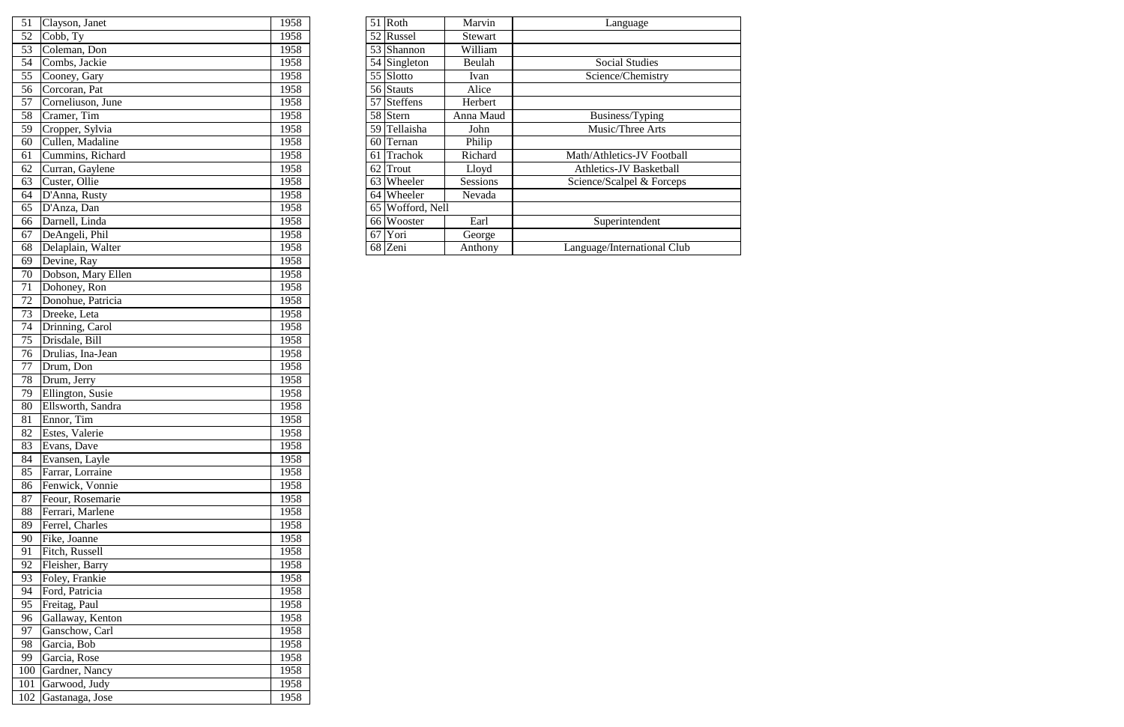|    | 51 Clayson, Janet    | 1958 |    | $51$ Roth                 | Marvin    | Language                    |
|----|----------------------|------|----|---------------------------|-----------|-----------------------------|
|    | $52$ Cobb, Ty        | 1958 |    | 52 Russel<br>Stewart      |           |                             |
| 53 | Coleman, Don         | 1958 |    | 53 Shannon                | William   |                             |
|    | 54 Combs, Jackie     | 1958 |    | $\overline{54}$ Singleton | Beulah    | <b>Social Studies</b>       |
|    | 55 Cooney, Gary      | 1958 |    | $55$ Slotto               | Ivan      | Science/Chemistry           |
|    | 56 Corcoran, Pat     | 1958 |    | 56 Stauts                 | Alice     |                             |
| 57 | Corneliuson, June    | 1958 |    | 57 Steffens               | Herbert   |                             |
| 58 | Cramer, Tim          | 1958 |    | 58 Stern                  | Anna Maud | Business/Typing             |
| 59 | Cropper, Sylvia      | 1958 |    | 59 Tellaisha              | John      | Music/Three Arts            |
|    | 60 Cullen, Madaline  | 1958 |    | 60 Ternan                 | Philip    |                             |
| 61 | Cummins, Richard     | 1958 |    | 61 Trachok                | Richard   | Math/Athletics-JV Football  |
| 62 | Curran, Gaylene      | 1958 | 62 | <b>Trout</b>              | Lloyd     | Athletics-JV Basketball     |
| 63 | Custer, Ollie        | 1958 |    | 63 Wheeler                | Sessions  | Science/Scalpel & Forceps   |
| 64 | D'Anna, Rusty        | 1958 |    | 64 Wheeler                | Nevada    |                             |
| 65 | D'Anza, Dan          | 1958 |    | 65 Wofford, Nell          |           |                             |
| 66 | Darnell, Linda       | 1958 |    | 66 Wooster                | Earl      | Superintendent              |
| 67 | DeAngeli, Phil       | 1958 | 67 | Yori                      | George    |                             |
|    | 68 Delaplain, Walter | 1958 |    | 68 Zeni                   | Anthony   | Language/International Club |

| 51              | Clayson, Janet     | 1958         | $51$ Roth        | Marvin    | Language             |
|-----------------|--------------------|--------------|------------------|-----------|----------------------|
| 52              | Cobb, Ty           | 1958         | 52 Russel        | Stewart   |                      |
| 53              | Coleman, Don       | 1958         | 53 Shannon       | William   |                      |
| 54              | Combs, Jackie      | 1958         | 54 Singleton     | Beulah    | Social Studi         |
| 55              | Cooney, Gary       | 1958         | $55$ Slotto      | Ivan      | Science/Chem         |
| 56              | Corcoran, Pat      | 1958         | 56 Stauts        | Alice     |                      |
| 57              | Corneliuson, June  | 1958         | 57 Steffens      | Herbert   |                      |
| 58              | Cramer, Tim        | 1958         | 58 Stern         | Anna Maud | Business/Typ         |
| 59              | Cropper, Sylvia    | 1958         | 59 Tellaisha     | John      | Music/Three.         |
| 60              | Cullen, Madaline   | 1958         | 60 Ternan        | Philip    |                      |
| 61              | Cummins, Richard   | 1958         | 61 Trachok       | Richard   | Math/Athletics-JV    |
| 62              | Curran, Gaylene    | 1958         | $62$ Trout       | Lloyd     | Athletics-JV Bas     |
| 63              | Custer, Ollie      | 1958         | 63 Wheeler       | Sessions  | Science/Scalpel &    |
| 64              | D'Anna, Rusty      | 1958         | 64 Wheeler       | Nevada    |                      |
| 65              | D'Anza, Dan        | 1958         | 65 Wofford, Nell |           |                      |
| 66              | Darnell, Linda     | 1958         | 66 Wooster       | Earl      | Superintend          |
| 67              | DeAngeli, Phil     | 1958         | $67$ Yori        | George    |                      |
| 68              | Delaplain, Walter  | 1958         | 68 Zeni          | Anthony   | Language/Internation |
| 69              | Devine, Ray        | 1958         |                  |           |                      |
| 70              | Dobson, Mary Ellen | 1958         |                  |           |                      |
| 71              | Dohoney, Ron       | 1958         |                  |           |                      |
| 72              | Donohue, Patricia  | 1958         |                  |           |                      |
| 73              | Dreeke, Leta       | 1958         |                  |           |                      |
| 74              | Drinning, Carol    | 1958         |                  |           |                      |
| 75              | Drisdale, Bill     | 1958         |                  |           |                      |
| 76              | Drulias, Ina-Jean  | 1958         |                  |           |                      |
| 77              | Drum, Don          | 1958         |                  |           |                      |
| 78              | Drum, Jerry        | 1958         |                  |           |                      |
| 79              | Ellington, Susie   | 1958         |                  |           |                      |
| 80              | Ellsworth, Sandra  | 1958         |                  |           |                      |
| 81              | Ennor, Tim         | 1958         |                  |           |                      |
| $\overline{82}$ | Estes, Valerie     | 1958         |                  |           |                      |
| 83              | Evans, Dave        | 1958         |                  |           |                      |
| 84              | Evansen, Layle     | 1958         |                  |           |                      |
| 85              | Farrar, Lorraine   | 1958         |                  |           |                      |
| 86              | Fenwick, Vonnie    | 1958         |                  |           |                      |
| 87              | Feour, Rosemarie   | 1958         |                  |           |                      |
| 88              | Ferrari, Marlene   | 1958         |                  |           |                      |
| 89              | Ferrel, Charles    | 1958         |                  |           |                      |
| 90              | Fike, Joanne       | 1958         |                  |           |                      |
| 91              | Fitch, Russell     | 1958         |                  |           |                      |
| 92              | Fleisher, Barry    | 1958         |                  |           |                      |
| 93              | Foley, Frankie     | 1958         |                  |           |                      |
| 94              | Ford, Patricia     | 1958         |                  |           |                      |
| 95              | Freitag, Paul      | 1958         |                  |           |                      |
| 96              | Gallaway, Kenton   | 1958         |                  |           |                      |
| 97              | Ganschow, Carl     | 1958         |                  |           |                      |
| 98              | Garcia, Bob        | 1958         |                  |           |                      |
|                 |                    |              |                  |           |                      |
| 99              | Garcia, Rose       | 1958         |                  |           |                      |
| 100             | Gardner, Nancy     | 1958<br>1958 |                  |           |                      |
| 101             | Garwood, Judy      |              |                  |           |                      |
| 102             | Gastanaga, Jose    | 1958         |                  |           |                      |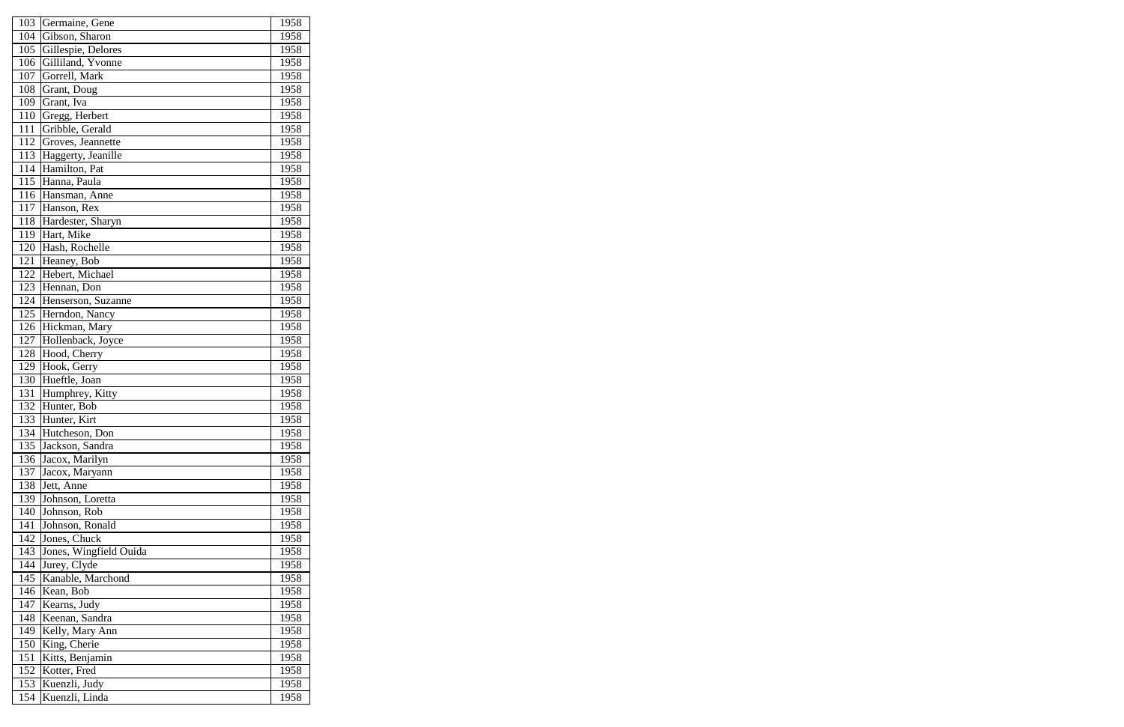| 103 | Germaine, Gene         | 1958 |
|-----|------------------------|------|
| 104 | Gibson, Sharon         | 1958 |
| 105 | Gillespie, Delores     | 1958 |
| 106 | Gilliland, Yvonne      | 1958 |
| 107 | Gorrell, Mark          | 1958 |
| 108 | Grant, Doug            | 1958 |
| 109 | Grant, Iva             | 1958 |
| 110 | Gregg, Herbert         | 1958 |
| 111 | Gribble, Gerald        | 1958 |
| 112 | Groves, Jeannette      | 1958 |
| 113 | Haggerty, Jeanille     | 1958 |
| 114 | Hamilton, Pat          | 1958 |
| 115 | Hanna, Paula           | 1958 |
| 116 | Hansman, Anne          | 1958 |
| 117 | Hanson, Rex            | 1958 |
| 118 | Hardester, Sharyn      | 1958 |
| 119 | Hart, Mike             | 1958 |
| 120 | Hash, Rochelle         | 1958 |
| 121 | Heaney, Bob            | 1958 |
| 122 | Hebert, Michael        | 1958 |
| 123 | Hennan, Don            | 1958 |
| 124 | Henserson, Suzanne     | 1958 |
| 125 | Herndon, Nancy         | 1958 |
| 126 | Hickman, Mary          | 1958 |
| 127 | Hollenback, Joyce      | 1958 |
| 128 | Hood, Cherry           | 1958 |
| 129 | Hook, Gerry            | 1958 |
| 130 | Hueftle, Joan          | 1958 |
| 131 | Humphrey, Kitty        | 1958 |
| 132 | Hunter, Bob            | 1958 |
| 133 | Hunter, Kirt           | 1958 |
| 134 | Hutcheson, Don         | 1958 |
| 135 | Jackson, Sandra        | 1958 |
| 136 | Jacox, Marilyn         | 1958 |
| 137 | Jacox, Maryann         | 1958 |
| 138 | Jett, Anne             | 1958 |
| 139 | Johnson, Loretta       | 1958 |
| 140 | Johnson, Rob           | 1958 |
| 141 | Johnson, Ronald        | 1958 |
| 142 | Jones, Chuck           | 1958 |
| 143 | Jones, Wingfield Ouida | 1958 |
| 144 | Jurey, Clyde           | 1958 |
| 145 | Kanable, Marchond      | 1958 |
| 146 | Kean, Bob              | 1958 |
| 147 | Kearns, Judy           | 1958 |
| 148 | Keenan, Sandra         | 1958 |
| 149 | Kelly, Mary Ann        | 1958 |
| 150 | King, Cherie           | 1958 |
| 151 | Kitts, Benjamin        | 1958 |
| 152 | Kotter, Fred           | 1958 |
| 153 | Kuenzli, Judy          | 1958 |
| 154 | Kuenzli, Linda         | 1958 |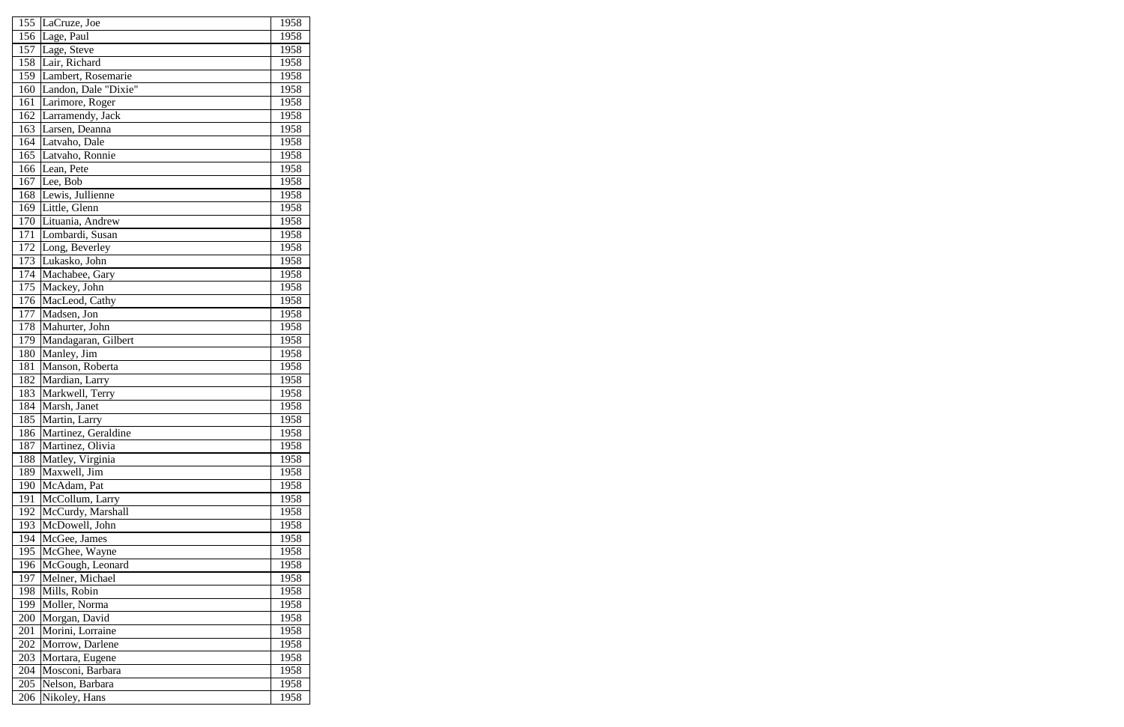| 155 | LaCruze, Joe                      | 1958 |
|-----|-----------------------------------|------|
| 156 | Lage, Paul                        | 1958 |
| 157 | Lage, Steve                       | 1958 |
| 158 | Lair, Richard                     | 1958 |
| 159 | Lambert, Rosemarie                | 1958 |
| 160 | Landon, Dale "Dixie"              | 1958 |
| 161 | Larimore, Roger                   | 1958 |
| 162 | Larramendy, Jack                  | 1958 |
| 163 | Larsen, Deanna                    | 1958 |
| 164 | Latvaho, Dale                     | 1958 |
| 165 | Latvaho, Ronnie                   | 1958 |
| 166 | Lean, Pete                        | 1958 |
| 167 | Lee, Bob                          | 1958 |
| 168 | Lewis, Jullienne                  | 1958 |
| 169 | Little, Glenn                     | 1958 |
| 170 | Lituania, Andrew                  | 1958 |
| 171 | Lombardi, Susan                   | 1958 |
| 172 | Long, Beverley                    | 1958 |
| 173 | Lukasko, John                     | 1958 |
| 174 | Machabee, Gary                    | 1958 |
| 175 | Mackey, John                      | 1958 |
| 176 | MacLeod, Cathy                    | 1958 |
| 177 | Madsen, Jon                       | 1958 |
| 178 | Mahurter, John                    | 1958 |
| 179 | Mandagaran, Gilbert               | 1958 |
| 180 | Manley, Jim                       | 1958 |
| 181 | Manson, Roberta                   | 1958 |
| 182 | Mardian, Larry                    | 1958 |
| 183 | Markwell, Terry                   | 1958 |
| 184 | Marsh, Janet                      | 1958 |
| 185 | Martin, Larry                     | 1958 |
| 186 | Martinez, Geraldine               | 1958 |
| 187 | Martinez, Olivia                  | 1958 |
| 188 | Matley, Virginia                  | 1958 |
| 189 | $\overline{\text{Maxwell}}$ , Jim | 1958 |
| 190 | McAdam, Pat                       | 1958 |
| 191 | McCollum, Larry                   | 1958 |
| 192 | McCurdy, Marshall                 | 1958 |
| 193 | McDowell, John                    | 1958 |
| 194 | McGee, James                      | 1958 |
| 195 | McGhee, Wayne                     | 1958 |
| 196 | McGough, Leonard                  | 1958 |
| 197 | Melner, Michael                   | 1958 |
| 198 | Mills, Robin                      | 1958 |
| 199 | Moller, Norma                     | 1958 |
| 200 | Morgan, David                     | 1958 |
| 201 | Morini, Lorraine                  | 1958 |
| 202 | Morrow, Darlene                   | 1958 |
| 203 | Mortara, Eugene                   | 1958 |
| 204 | Mosconi, Barbara                  | 1958 |
| 205 | Nelson, Barbara                   | 1958 |
| 206 | Nikoley, Hans                     | 1958 |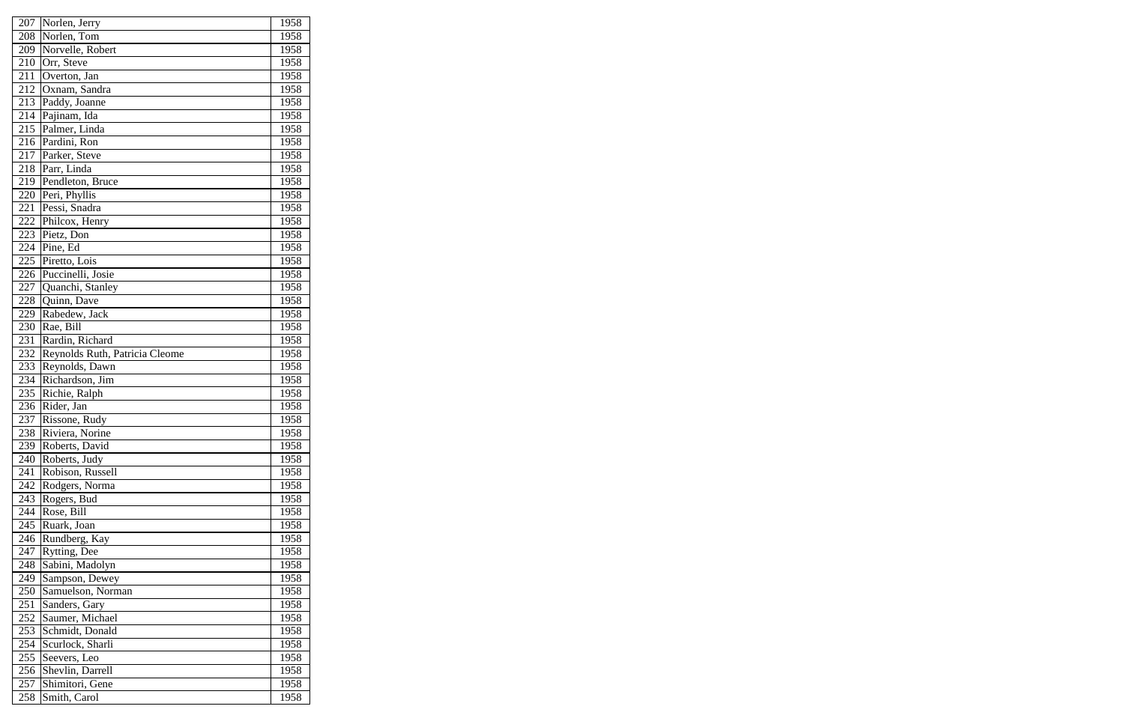| 207              | Norlen, Jerry                  | 1958 |
|------------------|--------------------------------|------|
| 208              | Norlen, Tom                    | 1958 |
| 209              | Norvelle, Robert               | 1958 |
| 210              | Orr, Steve                     | 1958 |
| 211              | Overton, Jan                   | 1958 |
| 212              | Oxnam, Sandra                  | 1958 |
| $\overline{213}$ | Paddy, Joanne                  | 1958 |
| 214              | Pajinam, Ida                   | 1958 |
| 215              | Palmer, Linda                  | 1958 |
| 216              | Pardini, Ron                   | 1958 |
| 217              | Parker, Steve                  | 1958 |
| 218              | Parr, Linda                    | 1958 |
| 219              | Pendleton, Bruce               | 1958 |
| 220              | Peri, Phyllis                  | 1958 |
| 221              | Pessi, Snadra                  | 1958 |
| 222              | Philcox, Henry                 | 1958 |
| 223              | Pietz, Don                     | 1958 |
| 224              | Pine, Ed                       | 1958 |
| 225              | Piretto, Lois                  | 1958 |
| 226              | Puccinelli, Josie              | 1958 |
| 227              | Quanchi, Stanley               | 1958 |
| 228              | Quinn, Dave                    | 1958 |
| 229              | Rabedew, Jack                  | 1958 |
| 230              | Rae, Bill                      | 1958 |
| 231              | Rardin, Richard                | 1958 |
| 232              | Reynolds Ruth, Patricia Cleome | 1958 |
| 233              | Reynolds, Dawn                 | 1958 |
| 234              | Richardson, Jim                | 1958 |
| 235              | Richie, Ralph                  | 1958 |
| 236              | Rider, Jan                     | 1958 |
| 237              | Rissone, Rudy                  | 1958 |
| 238              | Riviera, Norine                | 1958 |
| 239              | Roberts, David                 | 1958 |
| 240              | Roberts, Judy                  | 1958 |
| 241              | Robison, Russell               | 1958 |
| 242              | Rodgers, Norma                 | 1958 |
| 243              | Rogers, Bud                    | 1958 |
| 244              | Rose, Bill                     | 1958 |
| 245              | Ruark, Joan                    | 1958 |
| 246              | Rundberg, Kay                  | 1958 |
| 247              | Rytting, Dee                   | 1958 |
| 248              | Sabini, Madolyn                | 1958 |
| 249              | Sampson, Dewey                 | 1958 |
| 250              | Samuelson, Norman              | 1958 |
| 251              | Sanders, Gary                  | 1958 |
| 252              | Saumer, Michael                | 1958 |
| 253              | Schmidt, Donald                | 1958 |
| 254              | Scurlock, Sharli               | 1958 |
| 255              | Seevers, Leo                   | 1958 |
| 256              | Shevlin, Darrell               | 1958 |
| 257              | Shimitori, Gene                | 1958 |
| 258              | Smith, Carol                   | 1958 |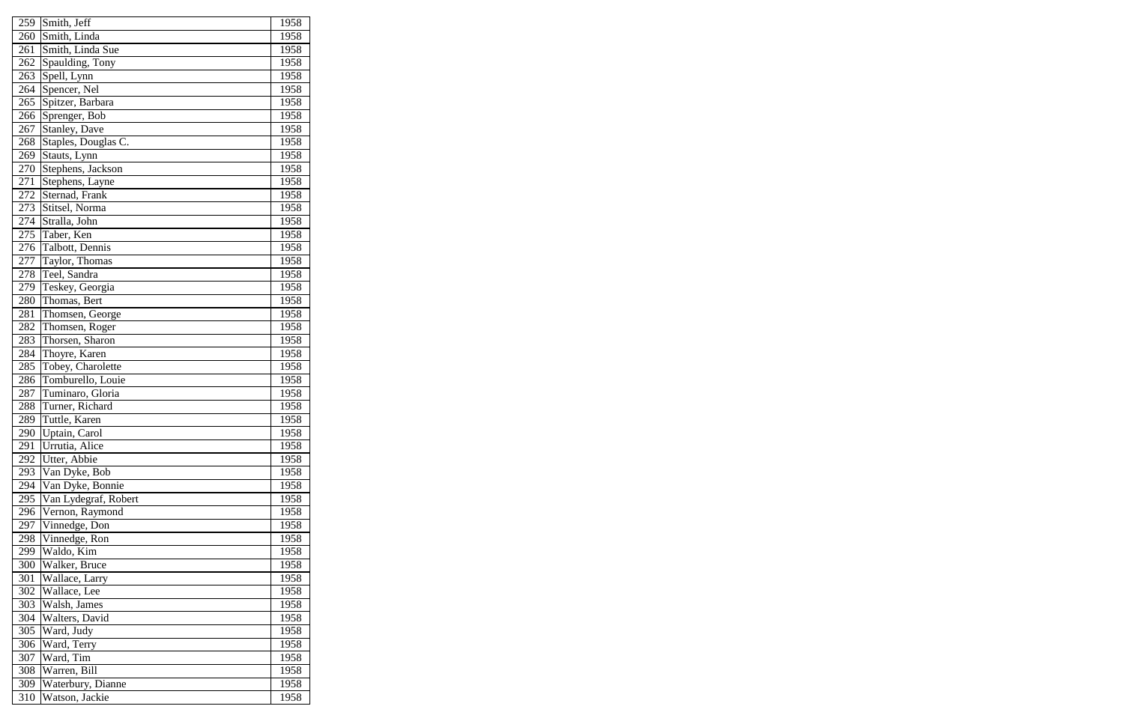| 259 | Smith, Jeff          | 1958        |
|-----|----------------------|-------------|
| 260 | Smith, Linda         | <b>1958</b> |
| 261 | Smith, Linda Sue     | 1958        |
| 262 | Spaulding, Tony      | 1958        |
| 263 | Spell, Lynn          | 1958        |
| 264 | Spencer, Nel         | 1958        |
| 265 | Spitzer, Barbara     | 1958        |
| 266 | Sprenger, Bob        | 1958        |
| 267 | Stanley, Dave        | 1958        |
| 268 | Staples, Douglas C.  | 1958        |
| 269 | Stauts, Lynn         | 1958        |
| 270 | Stephens, Jackson    | 1958        |
| 271 | Stephens, Layne      | 1958        |
| 272 | Sternad, Frank       | 1958        |
| 273 | Stitsel, Norma       | 1958        |
| 274 | Stralla, John        | 1958        |
| 275 | Taber, Ken           | 1958        |
| 276 | Talbott, Dennis      | 1958        |
| 277 | Taylor, Thomas       | 1958        |
| 278 | Teel, Sandra         | 1958        |
| 279 | Teskey, Georgia      | 1958        |
| 280 | Thomas, Bert         | 1958        |
| 281 | Thomsen, George      | 1958        |
| 282 | Thomsen, Roger       | 1958        |
| 283 | Thorsen, Sharon      | 1958        |
| 284 | Thoyre, Karen        | 1958        |
| 285 | Tobey, Charolette    | 1958        |
| 286 | Tomburello, Louie    | 1958        |
| 287 | Tuminaro, Gloria     | 1958        |
| 288 | Turner, Richard      | 1958        |
| 289 | Tuttle, Karen        | 1958        |
| 290 | Uptain, Carol        | 1958        |
| 291 | Urrutia, Alice       | 1958        |
| 292 | Utter, Abbie         | 1958        |
| 293 | Van Dyke, Bob        | 1958        |
| 294 | Van Dyke, Bonnie     | 1958        |
| 295 | Van Lydegraf, Robert | 1958        |
| 296 | Vernon, Raymond      | 1958        |
| 297 | Vinnedge, Don        | 1958        |
| 298 | Vinnedge, Ron        | 1958        |
| 299 | Waldo, Kim           | 1958        |
| 300 | Walker, Bruce        | 1958        |
| 301 | Wallace, Larry       | 1958        |
| 302 | Wallace, Lee         | 1958        |
| 303 | Walsh, James         | 1958        |
| 304 | Walters, David       | 1958        |
| 305 | Ward, Judy           | 1958        |
| 306 | Ward, Terry          | 1958        |
| 307 | Ward, Tim            | 1958        |
| 308 | Warren, Bill         | 1958        |
| 309 | Waterbury, Dianne    | 1958        |
| 310 | Watson, Jackie       | 1958        |